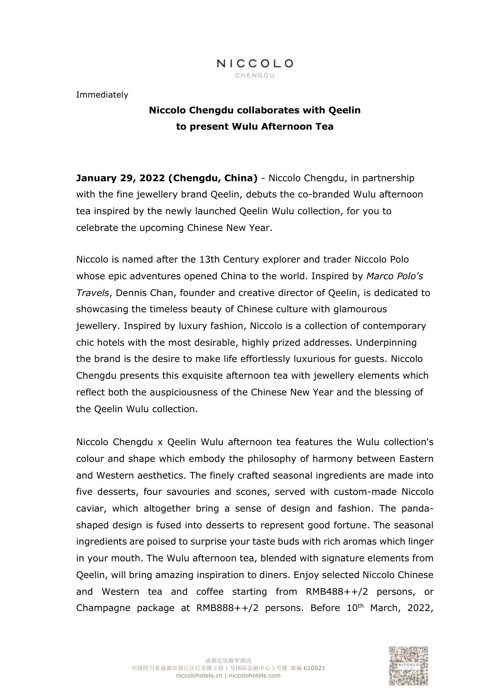

Immediately

# **Niccolo Chengdu collaborates with Qeelin to present Wulu Afternoon Tea**

**January 29, 2022 (Chengdu, China)** - Niccolo Chengdu, in partnership with the fine jewellery brand Qeelin, debuts the co-branded Wulu afternoon tea inspired by the newly launched Qeelin Wulu collection, for you to celebrate the upcoming Chinese New Year.

Niccolo is named after the 13th Century explorer and trader Niccolo Polo whose epic adventures opened China to the world. Inspired by *Marco Polo's Travels*, Dennis Chan, founder and creative director of Qeelin, is dedicated to showcasing the timeless beauty of Chinese culture with glamourous jewellery. Inspired by luxury fashion, Niccolo is a collection of contemporary chic hotels with the most desirable, highly prized addresses. Underpinning the brand is the desire to make life effortlessly luxurious for guests. Niccolo Chengdu presents this exquisite afternoon tea with jewellery elements which reflect both the auspiciousness of the Chinese New Year and the blessing of the Qeelin Wulu collection.

Niccolo Chengdu x Qeelin Wulu afternoon tea features the Wulu collection's colour and shape which embody the philosophy of harmony between Eastern and Western aesthetics. The finely crafted seasonal ingredients are made into five desserts, four savouries and scones, served with custom-made Niccolo caviar, which altogether bring a sense of design and fashion. The pandashaped design is fused into desserts to represent good fortune. The seasonal ingredients are poised to surprise your taste buds with rich aromas which linger in your mouth. The Wulu afternoon tea, blended with signature elements from Qeelin, will bring amazing inspiration to diners. Enjoy selected Niccolo Chinese and Western tea and coffee starting from RMB488++/2 persons, or Champagne package at RMB888++/2 persons. Before  $10<sup>th</sup>$  March, 2022,

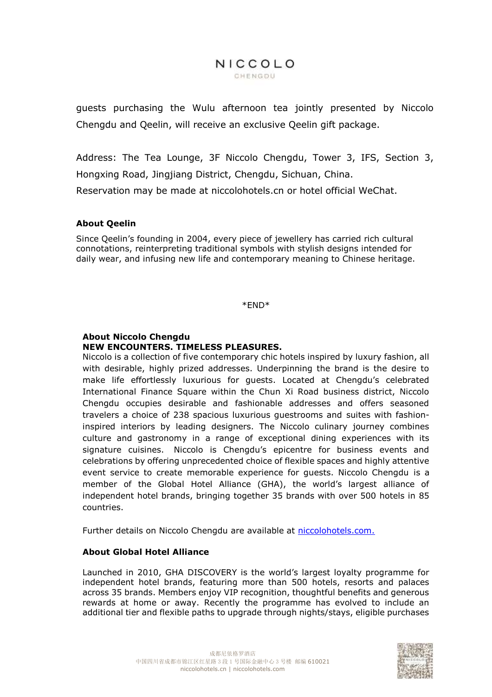## NICCOLO CHENGDU

guests purchasing the Wulu afternoon tea jointly presented by Niccolo Chengdu and Qeelin, will receive an exclusive Qeelin gift package.

Address: The Tea Lounge, 3F Niccolo Chengdu, Tower 3, IFS, Section 3, Hongxing Road, Jingjiang District, Chengdu, Sichuan, China.

Reservation may be made at niccolohotels.cn or hotel official WeChat.

## **About Qeelin**

Since Qeelin's founding in 2004, every piece of jewellery has carried rich cultural connotations, reinterpreting traditional symbols with stylish designs intended for daily wear, and infusing new life and contemporary meaning to Chinese heritage.

\*END\*

#### **About Niccolo Chengdu NEW ENCOUNTERS. TIMELESS PLEASURES.**

Niccolo is a collection of five contemporary chic hotels inspired by luxury fashion, all with desirable, highly prized addresses. Underpinning the brand is the desire to make life effortlessly luxurious for guests. Located at Chengdu's celebrated International Finance Square within the Chun Xi Road business district, Niccolo Chengdu occupies desirable and fashionable addresses and offers seasoned travelers a choice of 238 spacious luxurious guestrooms and suites with fashioninspired interiors by leading designers. The Niccolo culinary journey combines culture and gastronomy in a range of exceptional dining experiences with its signature cuisines. Niccolo is Chengdu's epicentre for business events and celebrations by offering unprecedented choice of flexible spaces and highly attentive event service to create memorable experience for guests. Niccolo Chengdu is a member of the Global Hotel Alliance (GHA), the world's largest alliance of independent hotel brands, bringing together 35 brands with over 500 hotels in 85 countries.

Further details on Niccolo Chengdu are available at [niccolohotels.com.](file:///C:/Users/cora.wu1/Documents/WeChat%20Files/wxid_rye4kf0arha012/FileStorage/File/2022-01/niccolohotels.com)

#### **About Global Hotel Alliance**

Launched in 2010, GHA DISCOVERY is the world's largest loyalty programme for independent hotel brands, featuring more than 500 hotels, resorts and palaces across 35 brands. Members enjoy VIP recognition, thoughtful benefits and generous rewards at home or away. Recently the programme has evolved to include an additional tier and flexible paths to upgrade through nights/stays, eligible purchases